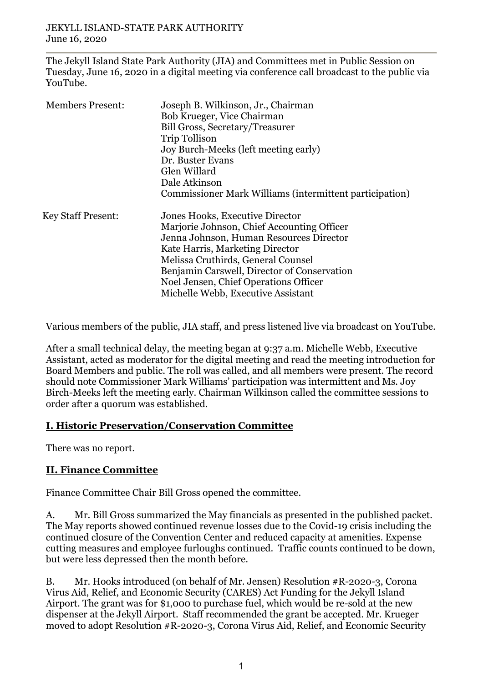The Jekyll Island State Park Authority (JIA) and Committees met in Public Session on Tuesday, June 16, 2020 in a digital meeting via conference call broadcast to the public via YouTube.

| <b>Members Present:</b>   | Joseph B. Wilkinson, Jr., Chairman<br>Bob Krueger, Vice Chairman<br>Bill Gross, Secretary/Treasurer<br>Trip Tollison<br>Joy Burch-Meeks (left meeting early)<br>Dr. Buster Evans<br>Glen Willard<br>Dale Atkinson<br>Commissioner Mark Williams (intermittent participation)                                                    |
|---------------------------|---------------------------------------------------------------------------------------------------------------------------------------------------------------------------------------------------------------------------------------------------------------------------------------------------------------------------------|
| <b>Key Staff Present:</b> | Jones Hooks, Executive Director<br>Marjorie Johnson, Chief Accounting Officer<br>Jenna Johnson, Human Resources Director<br>Kate Harris, Marketing Director<br>Melissa Cruthirds, General Counsel<br>Benjamin Carswell, Director of Conservation<br>Noel Jensen, Chief Operations Officer<br>Michelle Webb, Executive Assistant |

Various members of the public, JIA staff, and press listened live via broadcast on YouTube.

After a small technical delay, the meeting began at 9:37 a.m. Michelle Webb, Executive Assistant, acted as moderator for the digital meeting and read the meeting introduction for Board Members and public. The roll was called, and all members were present. The record should note Commissioner Mark Williams' participation was intermittent and Ms. Joy Birch-Meeks left the meeting early. Chairman Wilkinson called the committee sessions to order after a quorum was established.

### **I. Historic Preservation/Conservation Committee**

There was no report.

## **II. Finance Committee**

Finance Committee Chair Bill Gross opened the committee.

A. Mr. Bill Gross summarized the May financials as presented in the published packet. The May reports showed continued revenue losses due to the Covid-19 crisis including the continued closure of the Convention Center and reduced capacity at amenities. Expense cutting measures and employee furloughs continued. Traffic counts continued to be down, but were less depressed then the month before.

B. Mr. Hooks introduced (on behalf of Mr. Jensen) Resolution #R-2020-3, Corona Virus Aid, Relief, and Economic Security (CARES) Act Funding for the Jekyll Island Airport. The grant was for \$1,000 to purchase fuel, which would be re-sold at the new dispenser at the Jekyll Airport. Staff recommended the grant be accepted. Mr. Krueger moved to adopt Resolution #R-2020-3, Corona Virus Aid, Relief, and Economic Security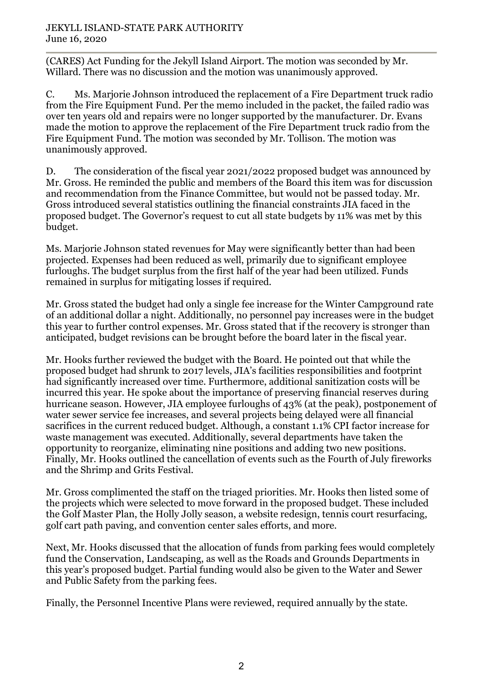#### JEKYLL ISLAND-STATE PARK AUTHORITY June 16, 2020

(CARES) Act Funding for the Jekyll Island Airport. The motion was seconded by Mr. Willard. There was no discussion and the motion was unanimously approved.

C. Ms. Marjorie Johnson introduced the replacement of a Fire Department truck radio from the Fire Equipment Fund. Per the memo included in the packet, the failed radio was over ten years old and repairs were no longer supported by the manufacturer. Dr. Evans made the motion to approve the replacement of the Fire Department truck radio from the Fire Equipment Fund. The motion was seconded by Mr. Tollison. The motion was unanimously approved.

D. The consideration of the fiscal year 2021/2022 proposed budget was announced by Mr. Gross. He reminded the public and members of the Board this item was for discussion and recommendation from the Finance Committee, but would not be passed today. Mr. Gross introduced several statistics outlining the financial constraints JIA faced in the proposed budget. The Governor's request to cut all state budgets by 11% was met by this budget.

Ms. Marjorie Johnson stated revenues for May were significantly better than had been projected. Expenses had been reduced as well, primarily due to significant employee furloughs. The budget surplus from the first half of the year had been utilized. Funds remained in surplus for mitigating losses if required.

Mr. Gross stated the budget had only a single fee increase for the Winter Campground rate of an additional dollar a night. Additionally, no personnel pay increases were in the budget this year to further control expenses. Mr. Gross stated that if the recovery is stronger than anticipated, budget revisions can be brought before the board later in the fiscal year.

Mr. Hooks further reviewed the budget with the Board. He pointed out that while the proposed budget had shrunk to 2017 levels, JIA's facilities responsibilities and footprint had significantly increased over time. Furthermore, additional sanitization costs will be incurred this year. He spoke about the importance of preserving financial reserves during hurricane season. However, JIA employee furloughs of 43% (at the peak), postponement of water sewer service fee increases, and several projects being delayed were all financial sacrifices in the current reduced budget. Although, a constant 1.1% CPI factor increase for waste management was executed. Additionally, several departments have taken the opportunity to reorganize, eliminating nine positions and adding two new positions. Finally, Mr. Hooks outlined the cancellation of events such as the Fourth of July fireworks and the Shrimp and Grits Festival.

Mr. Gross complimented the staff on the triaged priorities. Mr. Hooks then listed some of the projects which were selected to move forward in the proposed budget. These included the Golf Master Plan, the Holly Jolly season, a website redesign, tennis court resurfacing, golf cart path paving, and convention center sales efforts, and more.

Next, Mr. Hooks discussed that the allocation of funds from parking fees would completely fund the Conservation, Landscaping, as well as the Roads and Grounds Departments in this year's proposed budget. Partial funding would also be given to the Water and Sewer and Public Safety from the parking fees.

Finally, the Personnel Incentive Plans were reviewed, required annually by the state.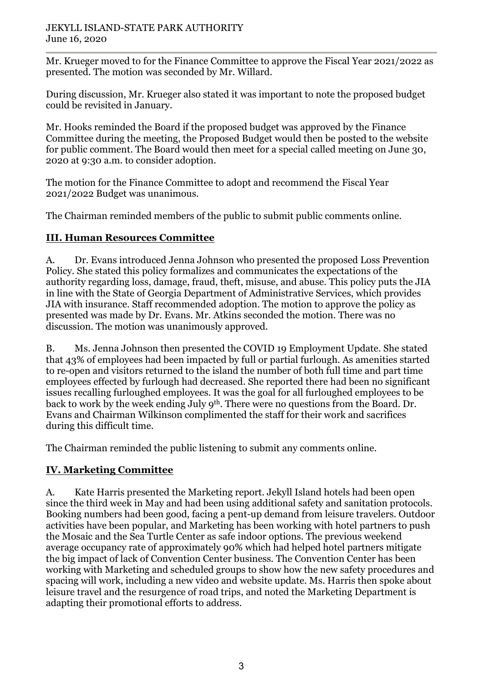Mr. Krueger moved to for the Finance Committee to approve the Fiscal Year 2021/2022 as presented. The motion was seconded by Mr. Willard.

During discussion, Mr. Krueger also stated it was important to note the proposed budget could be revisited in January.

Mr. Hooks reminded the Board if the proposed budget was approved by the Finance Committee during the meeting, the Proposed Budget would then be posted to the website for public comment. The Board would then meet for a special called meeting on June 30, 2020 at 9:30 a.m. to consider adoption.

The motion for the Finance Committee to adopt and recommend the Fiscal Year 2021/2022 Budget was unanimous.

The Chairman reminded members of the public to submit public comments online.

## **III. Human Resources Committee**

A. Dr. Evans introduced Jenna Johnson who presented the proposed Loss Prevention Policy. She stated this policy formalizes and communicates the expectations of the authority regarding loss, damage, fraud, theft, misuse, and abuse. This policy puts the JIA in line with the State of Georgia Department of Administrative Services, which provides JIA with insurance. Staff recommended adoption. The motion to approve the policy as presented was made by Dr. Evans. Mr. Atkins seconded the motion. There was no discussion. The motion was unanimously approved.

B. Ms. Jenna Johnson then presented the COVID 19 Employment Update. She stated that 43% of employees had been impacted by full or partial furlough. As amenities started to re-open and visitors returned to the island the number of both full time and part time employees effected by furlough had decreased. She reported there had been no significant issues recalling furloughed employees. It was the goal for all furloughed employees to be back to work by the week ending July 9th. There were no questions from the Board. Dr. Evans and Chairman Wilkinson complimented the staff for their work and sacrifices during this difficult time.

The Chairman reminded the public listening to submit any comments online.

# **IV. Marketing Committee**

A. Kate Harris presented the Marketing report. Jekyll Island hotels had been open since the third week in May and had been using additional safety and sanitation protocols. Booking numbers had been good, facing a pent-up demand from leisure travelers. Outdoor activities have been popular, and Marketing has been working with hotel partners to push the Mosaic and the Sea Turtle Center as safe indoor options. The previous weekend average occupancy rate of approximately 90% which had helped hotel partners mitigate the big impact of lack of Convention Center business. The Convention Center has been working with Marketing and scheduled groups to show how the new safety procedures and spacing will work, including a new video and website update. Ms. Harris then spoke about leisure travel and the resurgence of road trips, and noted the Marketing Department is adapting their promotional efforts to address.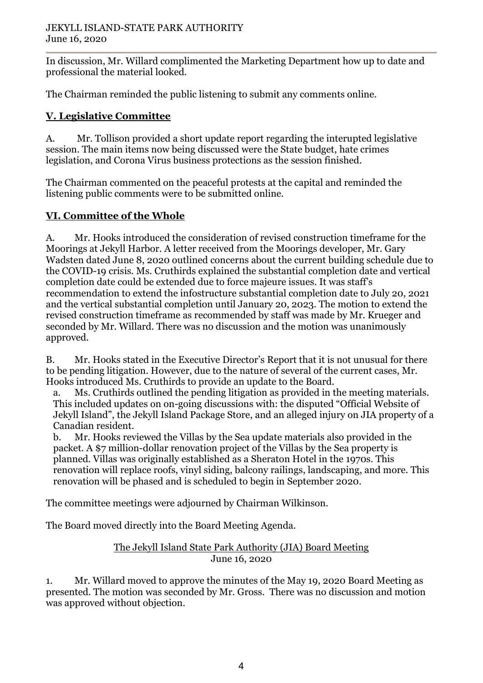In discussion, Mr. Willard complimented the Marketing Department how up to date and professional the material looked.

The Chairman reminded the public listening to submit any comments online.

# **V. Legislative Committee**

A. Mr. Tollison provided a short update report regarding the interupted legislative session. The main items now being discussed were the State budget, hate crimes legislation, and Corona Virus business protections as the session finished.

The Chairman commented on the peaceful protests at the capital and reminded the listening public comments were to be submitted online.

## **VI. Committee of the Whole**

A. Mr. Hooks introduced the consideration of revised construction timeframe for the Moorings at Jekyll Harbor. A letter received from the Moorings developer, Mr. Gary Wadsten dated June 8, 2020 outlined concerns about the current building schedule due to the COVID-19 crisis. Ms. Cruthirds explained the substantial completion date and vertical completion date could be extended due to force majeure issues. It was staff's recommendation to extend the infostructure substantial completion date to July 20, 2021 and the vertical substantial completion until January 20, 2023. The motion to extend the revised construction timeframe as recommended by staff was made by Mr. Krueger and seconded by Mr. Willard. There was no discussion and the motion was unanimously approved.

B. Mr. Hooks stated in the Executive Director's Report that it is not unusual for there to be pending litigation. However, due to the nature of several of the current cases, Mr. Hooks introduced Ms. Cruthirds to provide an update to the Board.

a. Ms. Cruthirds outlined the pending litigation as provided in the meeting materials. This included updates on on-going discussions with: the disputed "Official Website of Jekyll Island", the Jekyll Island Package Store, and an alleged injury on JIA property of a Canadian resident.

b. Mr. Hooks reviewed the Villas by the Sea update materials also provided in the packet. A \$7 million-dollar renovation project of the Villas by the Sea property is planned. Villas was originally established as a Sheraton Hotel in the 1970s. This renovation will replace roofs, vinyl siding, balcony railings, landscaping, and more. This renovation will be phased and is scheduled to begin in September 2020.

The committee meetings were adjourned by Chairman Wilkinson.

The Board moved directly into the Board Meeting Agenda.

### The Jekyll Island State Park Authority (JIA) Board Meeting June 16, 2020

1. Mr. Willard moved to approve the minutes of the May 19, 2020 Board Meeting as presented. The motion was seconded by Mr. Gross. There was no discussion and motion was approved without objection.